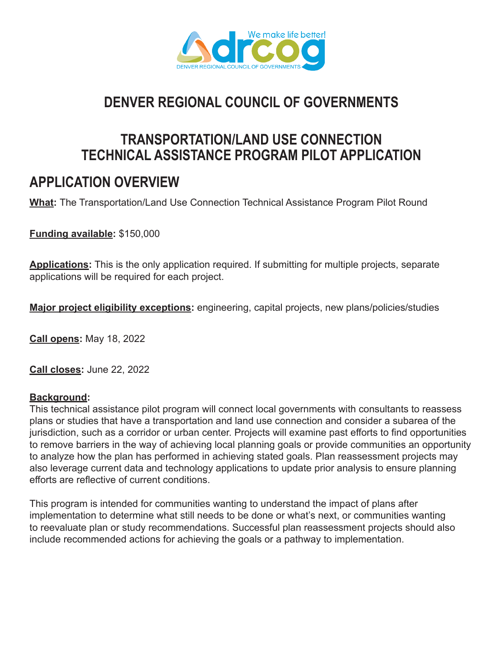

# **DENVER REGIONAL COUNCIL OF GOVERNMENTS**

### **TRANSPORTATION/LAND USE CONNECTION TECHNICAL ASSISTANCE PROGRAM PILOT APPLICATION**

## **APPLICATION OVERVIEW**

**What:** The Transportation/Land Use Connection Technical Assistance Program Pilot Round

**Funding available:** \$150,000

**Applications:** This is the only application required. If submitting for multiple projects, separate applications will be required for each project.

**Major project eligibility exceptions:** engineering, capital projects, new plans/policies/studies

**Call opens:** May 18, 2022

**Call closes:** June 22, 2022

#### **Background:**

This technical assistance pilot program will connect local governments with consultants to reassess plans or studies that have a transportation and land use connection and consider a subarea of the jurisdiction, such as a corridor or urban center. Projects will examine past efforts to find opportunities to remove barriers in the way of achieving local planning goals or provide communities an opportunity to analyze how the plan has performed in achieving stated goals. Plan reassessment projects may also leverage current data and technology applications to update prior analysis to ensure planning efforts are reflective of current conditions.

This program is intended for communities wanting to understand the impact of plans after implementation to determine what still needs to be done or what's next, or communities wanting to reevaluate plan or study recommendations. Successful plan reassessment projects should also include recommended actions for achieving the goals or a pathway to implementation.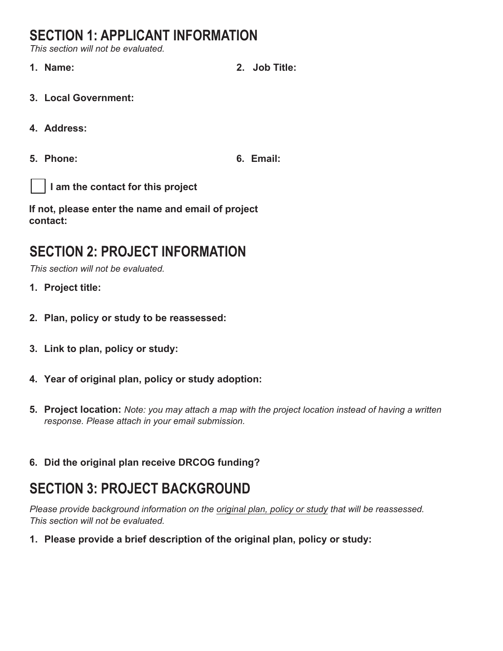## **SECTION 1: APPLICANT INFORMATION**

*This section will not be evaluated.*

- **1. Name: 2. Job Title:**
- **3. Local Government:**
- **4. Address:**
- **5. Phone: 6. Email:**

**I am the contact for this project**

**If not, please enter the name and email of project contact:**

## **SECTION 2: PROJECT INFORMATION**

*This section will not be evaluated.*

- **1. Project title:**
- **2. Plan, policy or study to be reassessed:**
- **3. Link to plan, policy or study:**
- **4. Year of original plan, policy or study adoption:**
- **5. Project location:** *Note: you may attach a map with the project location instead of having a written response. Please attach in your email submission.*
- **6. Did the original plan receive DRCOG funding?**

## **SECTION 3: PROJECT BACKGROUND**

*Please provide background information on the original plan, policy or study that will be reassessed. This section will not be evaluated.*

**1. Please provide a brief description of the original plan, policy or study:**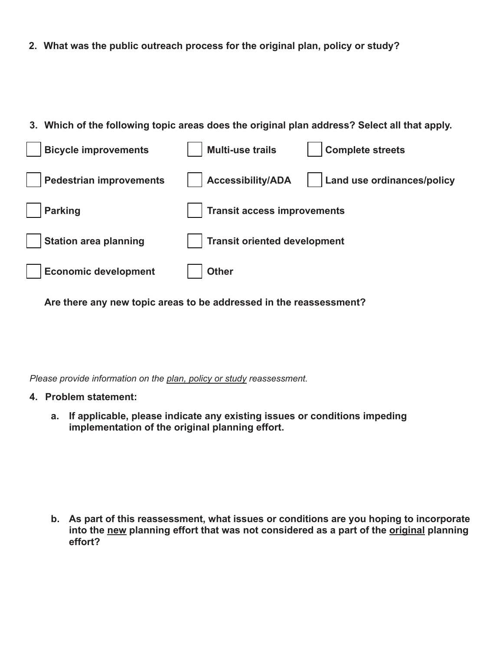**2. What was the public outreach process for the original plan, policy or study?**

#### **3. Which of the following topic areas does the original plan address? Select all that apply.**



**Are there any new topic areas to be addressed in the reassessment?** 

*Please provide information on the plan, policy or study reassessment.*

#### **4. Problem statement:**

**a. If applicable, please indicate any existing issues or conditions impeding implementation of the original planning effort.**

**b. As part of this reassessment, what issues or conditions are you hoping to incorporate** into the new planning effort that was not considered as a part of the **original** planning **effort?**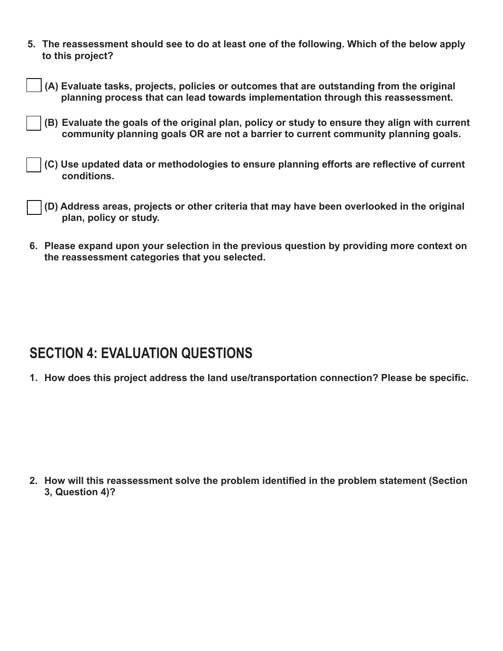**5. The reassessment should see to do at least one of the following. Which of the below apply to this project?**

| $\vert \ \vert$ (A) Evaluate tasks, projects, policies or outcomes that are outstanding from the original |  |
|-----------------------------------------------------------------------------------------------------------|--|
| planning process that can lead towards implementation through this reassessment.                          |  |

- **Evaluate the goals of the original plan, policy or study to ensure they align with current (B) community planning goals OR are not a barrier to current community planning goals.**
- **(C) Use updated data or methodologies to ensure planning efforts are reflective of current conditions.**
- **(D) Address areas, projects or other criteria that may have been overlooked in the original plan, policy or study.**
- **6. Please expand upon your selection in the previous question by providing more context on the reassessment categories that you selected.**

### **SECTION 4: EVALUATION QUESTIONS**

**1. How does this project address the land use/transportation connection? Please be specific.**

**2. How will this reassessment solve the problem identified in the problem statement (Section 3, Question 4)?**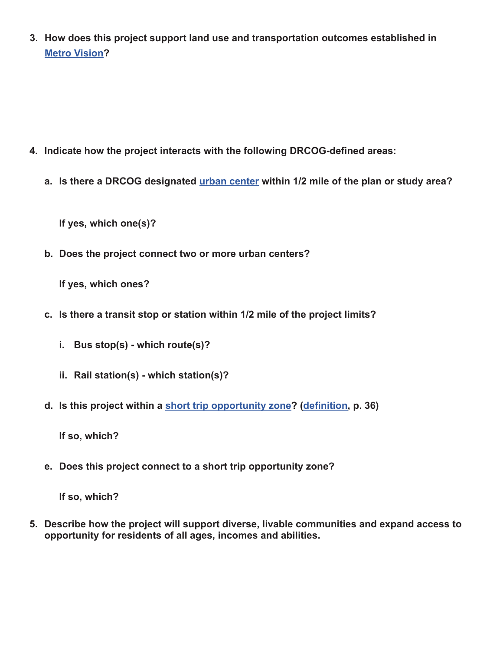**3. How does this project support land use and transportation outcomes established in Metro Vision?**

- **4. Indicate how the project interacts with the following DRCOG-defined areas:**
	- **a. Is there a DRCOG designated urban center within 1/2 mile of the plan or study area?**

**If yes, which one(s)?**

**b. Does the project connect two or more urban centers?**

**If yes, which ones?**

- **c. Is there a transit stop or station within 1/2 mile of the project limits?**
	- **i. Bus stop(s) which route(s)?**
	- **ii. Rail station(s) which station(s)?**
- **d. Is this project within a short trip opportunity zone? (definition, p. 36)**

**If so, which?**

**e. Does this project connect to a short trip opportunity zone?**

**If so, which?**

**5. Describe how the project will support diverse, livable communities and expand access to opportunity for residents of all ages, incomes and abilities.**